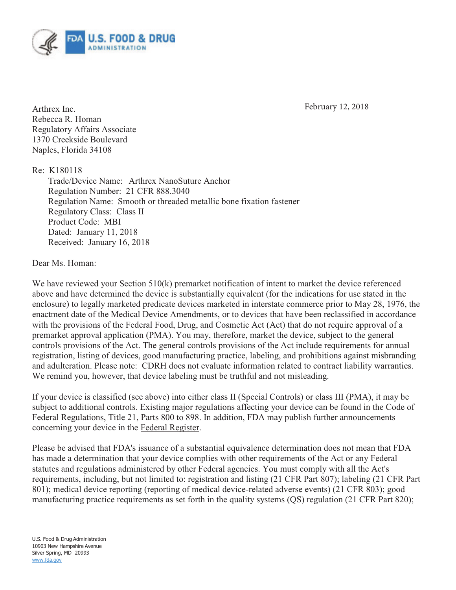

February 12, 2018

Arthrex Inc. Rebecca R. Homan Regulatory Affairs Associate 1370 Creekside Boulevard Naples, Florida 34108

Re: K180118

Trade/Device Name: Arthrex NanoSuture Anchor Regulation Number: 21 CFR 888.3040 Regulation Name: Smooth or threaded metallic bone fixation fastener Regulatory Class: Class II Product Code: MBI Dated: January 11, 2018 Received: January 16, 2018

Dear Ms. Homan:

We have reviewed your Section 510(k) premarket notification of intent to market the device referenced above and have determined the device is substantially equivalent (for the indications for use stated in the enclosure) to legally marketed predicate devices marketed in interstate commerce prior to May 28, 1976, the enactment date of the Medical Device Amendments, or to devices that have been reclassified in accordance with the provisions of the Federal Food, Drug, and Cosmetic Act (Act) that do not require approval of a premarket approval application (PMA). You may, therefore, market the device, subject to the general controls provisions of the Act. The general controls provisions of the Act include requirements for annual registration, listing of devices, good manufacturing practice, labeling, and prohibitions against misbranding and adulteration. Please note: CDRH does not evaluate information related to contract liability warranties. We remind you, however, that device labeling must be truthful and not misleading.

If your device is classified (see above) into either class II (Special Controls) or class III (PMA), it may be subject to additional controls. Existing major regulations affecting your device can be found in the Code of Federal Regulations, Title 21, Parts 800 to 898. In addition, FDA may publish further announcements concerning your device in the Federal Register.

Please be advised that FDA's issuance of a substantial equivalence determination does not mean that FDA has made a determination that your device complies with other requirements of the Act or any Federal statutes and regulations administered by other Federal agencies. You must comply with all the Act's requirements, including, but not limited to: registration and listing (21 CFR Part 807); labeling (21 CFR Part 801); medical device reporting (reporting of medical device-related adverse events) (21 CFR 803); good manufacturing practice requirements as set forth in the quality systems (QS) regulation (21 CFR Part 820);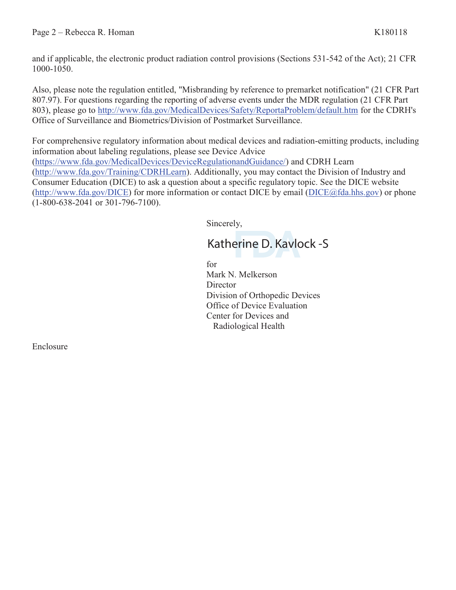and if applicable, the electronic product radiation control provisions (Sections 531-542 of the Act); 21 CFR 1000-1050.

Also, please note the regulation entitled, "Misbranding by reference to premarket notification" (21 CFR Part 807.97). For questions regarding the reporting of adverse events under the MDR regulation (21 CFR Part 803), please go to http://www.fda.gov/MedicalDevices/Safety/ReportaProblem/default.htm for the CDRH's Office of Surveillance and Biometrics/Division of Postmarket Surveillance.

For comprehensive regulatory information about medical devices and radiation-emitting products, including information about labeling regulations, please see Device Advice (https://www.fda.gov/MedicalDevices/DeviceRegulationandGuidance/) and CDRH Learn (http://www.fda.gov/Training/CDRHLearn). Additionally, you may contact the Division of Industry and Consumer Education (DICE) to ask a question about a specific regulatory topic. See the DICE website (http://www.fda.gov/DICE) for more information or contact DICE by email (DICE@fda.hhs.gov) or phone (1-800-638-2041 or 301-796-7100).

Sincerely,

## Katherine D. Kavlock -S

for Mark N. Melkerson **Director** Division of Orthopedic Devices Office of Device Evaluation Center for Devices and Radiological Health

Enclosure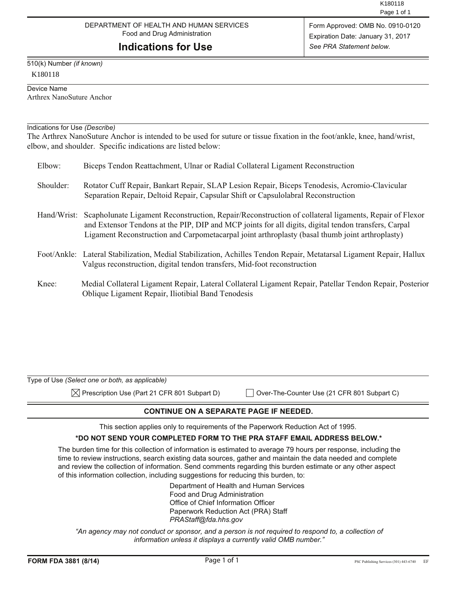## **Indications for Use**

510(k) Number *(if known)*

K180118

Device Name Arthrex NanoSuture Anchor

Indications for Use *(Describe)*

The Arthrex NanoSuture Anchor is intended to be used for suture or tissue fixation in the foot/ankle, knee, hand/wrist, elbow, and shoulder. Specific indications are listed below:

| Elbow:    | Biceps Tendon Reattachment, Ulnar or Radial Collateral Ligament Reconstruction                                                                                                                                                                                                                                               |
|-----------|------------------------------------------------------------------------------------------------------------------------------------------------------------------------------------------------------------------------------------------------------------------------------------------------------------------------------|
| Shoulder: | Rotator Cuff Repair, Bankart Repair, SLAP Lesion Repair, Biceps Tenodesis, Acromio-Clavicular<br>Separation Repair, Deltoid Repair, Capsular Shift or Capsulolabral Reconstruction                                                                                                                                           |
|           | Hand/Wrist: Scapholunate Ligament Reconstruction, Repair/Reconstruction of collateral ligaments, Repair of Flexor<br>and Extensor Tendons at the PIP, DIP and MCP joints for all digits, digital tendon transfers, Carpal<br>Ligament Reconstruction and Carpometacarpal joint arthroplasty (basal thumb joint arthroplasty) |
|           | Foot/Ankle: Lateral Stabilization, Medial Stabilization, Achilles Tendon Repair, Metatarsal Ligament Repair, Hallux<br>Valgus reconstruction, digital tendon transfers, Mid-foot reconstruction                                                                                                                              |
| Knee:     | Medial Collateral Ligament Repair, Lateral Collateral Ligament Repair, Patellar Tendon Repair, Posterior<br>Oblique Ligament Repair, Iliotibial Band Tenodesis                                                                                                                                                               |

| Type of Use (Select one or both, as applicable)          |                                             |  |  |  |
|----------------------------------------------------------|---------------------------------------------|--|--|--|
| $\boxtimes$ Prescription Use (Part 21 CFR 801 Subpart D) | Over-The-Counter Use (21 CFR 801 Subpart C) |  |  |  |

## **CONTINUE ON A SEPARATE PAGE IF NEEDED.**

This section applies only to requirements of the Paperwork Reduction Act of 1995.

## **\*DO NOT SEND YOUR COMPLETED FORM TO THE PRA STAFF EMAIL ADDRESS BELOW.\***

The burden time for this collection of information is estimated to average 79 hours per response, including the time to review instructions, search existing data sources, gather and maintain the data needed and complete and review the collection of information. Send comments regarding this burden estimate or any other aspect of this information collection, including suggestions for reducing this burden, to:

> Department of Health and Human Services Food and Drug Administration Office of Chief Information Officer Paperwork Reduction Act (PRA) Staff *PRAStaff@fda.hhs.gov*

"An agency may not conduct or sponsor, and a person is not required to respond to, a collection of *information unless it displays a currently valid OMB number."*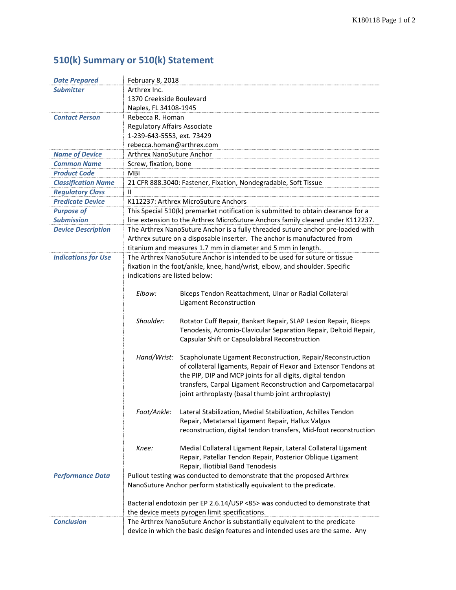| 510(k) Summary or 510(k) Statement |  |  |
|------------------------------------|--|--|
|------------------------------------|--|--|

| <b>Date Prepared</b>                   | February 8, 2018                                                                  |                                                                                                                                                                    |  |  |
|----------------------------------------|-----------------------------------------------------------------------------------|--------------------------------------------------------------------------------------------------------------------------------------------------------------------|--|--|
| <b>Submitter</b>                       | Arthrex Inc.                                                                      |                                                                                                                                                                    |  |  |
|                                        | 1370 Creekside Boulevard                                                          |                                                                                                                                                                    |  |  |
|                                        | Naples, FL 34108-1945                                                             |                                                                                                                                                                    |  |  |
| <b>Contact Person</b>                  | Rebecca R. Homan                                                                  |                                                                                                                                                                    |  |  |
|                                        | <b>Regulatory Affairs Associate</b>                                               |                                                                                                                                                                    |  |  |
|                                        | 1-239-643-5553, ext. 73429                                                        |                                                                                                                                                                    |  |  |
|                                        | rebecca.homan@arthrex.com                                                         |                                                                                                                                                                    |  |  |
| <b>Name of Device</b>                  | Arthrex NanoSuture Anchor                                                         |                                                                                                                                                                    |  |  |
| <b>Common Name</b>                     | Screw, fixation, bone                                                             |                                                                                                                                                                    |  |  |
| <b>Product Code</b>                    | MBI                                                                               |                                                                                                                                                                    |  |  |
| <b>Classification Name</b>             |                                                                                   | 21 CFR 888.3040: Fastener, Fixation, Nondegradable, Soft Tissue                                                                                                    |  |  |
| <b>Regulatory Class</b>                | Ш                                                                                 |                                                                                                                                                                    |  |  |
| <b>Predicate Device</b>                |                                                                                   | K112237: Arthrex MicroSuture Anchors                                                                                                                               |  |  |
| <b>Purpose of</b><br><b>Submission</b> | This Special 510(k) premarket notification is submitted to obtain clearance for a |                                                                                                                                                                    |  |  |
| <b>Device Description</b>              |                                                                                   | line extension to the Arthrex MicroSuture Anchors family cleared under K112237.<br>The Arthrex NanoSuture Anchor is a fully threaded suture anchor pre-loaded with |  |  |
|                                        |                                                                                   | Arthrex suture on a disposable inserter. The anchor is manufactured from                                                                                           |  |  |
|                                        |                                                                                   | titanium and measures 1.7 mm in diameter and 5 mm in length.                                                                                                       |  |  |
| <b>Indications for Use</b>             |                                                                                   | The Arthrex NanoSuture Anchor is intended to be used for suture or tissue                                                                                          |  |  |
|                                        |                                                                                   | fixation in the foot/ankle, knee, hand/wrist, elbow, and shoulder. Specific                                                                                        |  |  |
|                                        | indications are listed below:                                                     |                                                                                                                                                                    |  |  |
|                                        |                                                                                   |                                                                                                                                                                    |  |  |
|                                        | Elbow:                                                                            | Biceps Tendon Reattachment, Ulnar or Radial Collateral                                                                                                             |  |  |
|                                        |                                                                                   | <b>Ligament Reconstruction</b>                                                                                                                                     |  |  |
|                                        |                                                                                   |                                                                                                                                                                    |  |  |
|                                        | Shoulder:                                                                         | Rotator Cuff Repair, Bankart Repair, SLAP Lesion Repair, Biceps                                                                                                    |  |  |
|                                        |                                                                                   | Tenodesis, Acromio-Clavicular Separation Repair, Deltoid Repair,                                                                                                   |  |  |
|                                        |                                                                                   | Capsular Shift or Capsulolabral Reconstruction                                                                                                                     |  |  |
|                                        | Hand/Wrist:                                                                       | Scapholunate Ligament Reconstruction, Repair/Reconstruction                                                                                                        |  |  |
|                                        |                                                                                   | of collateral ligaments, Repair of Flexor and Extensor Tendons at                                                                                                  |  |  |
|                                        |                                                                                   | the PIP, DIP and MCP joints for all digits, digital tendon                                                                                                         |  |  |
|                                        |                                                                                   | transfers, Carpal Ligament Reconstruction and Carpometacarpal                                                                                                      |  |  |
|                                        |                                                                                   | joint arthroplasty (basal thumb joint arthroplasty)                                                                                                                |  |  |
|                                        |                                                                                   |                                                                                                                                                                    |  |  |
|                                        | Foot/Ankle:                                                                       | Lateral Stabilization, Medial Stabilization, Achilles Tendon                                                                                                       |  |  |
|                                        |                                                                                   | Repair, Metatarsal Ligament Repair, Hallux Valgus                                                                                                                  |  |  |
|                                        |                                                                                   | reconstruction, digital tendon transfers, Mid-foot reconstruction                                                                                                  |  |  |
|                                        |                                                                                   |                                                                                                                                                                    |  |  |
|                                        | Knee:                                                                             | Medial Collateral Ligament Repair, Lateral Collateral Ligament<br>Repair, Patellar Tendon Repair, Posterior Oblique Ligament                                       |  |  |
|                                        |                                                                                   | Repair, Iliotibial Band Tenodesis                                                                                                                                  |  |  |
| <b>Performance Data</b>                |                                                                                   | Pullout testing was conducted to demonstrate that the proposed Arthrex                                                                                             |  |  |
|                                        |                                                                                   | NanoSuture Anchor perform statistically equivalent to the predicate.                                                                                               |  |  |
|                                        |                                                                                   |                                                                                                                                                                    |  |  |
|                                        |                                                                                   | Bacterial endotoxin per EP 2.6.14/USP <85> was conducted to demonstrate that                                                                                       |  |  |
|                                        |                                                                                   | the device meets pyrogen limit specifications.                                                                                                                     |  |  |
| <b>Conclusion</b>                      | The Arthrex NanoSuture Anchor is substantially equivalent to the predicate        |                                                                                                                                                                    |  |  |
|                                        |                                                                                   | device in which the basic design features and intended uses are the same. Any                                                                                      |  |  |